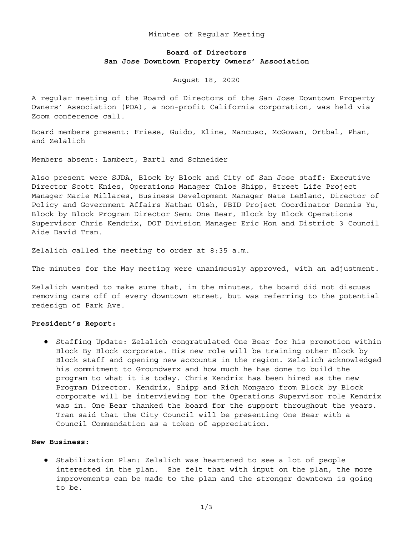### Minutes of Regular Meeting

# **Board of Directors San Jose Downtown Property Owners' Association**

August 18, 2020

A regular meeting of the Board of Directors of the San Jose Downtown Property Owners' Association (POA), a non-profit California corporation, was held via Zoom conference call.

Board members present: Friese, Guido, Kline, Mancuso, McGowan, Ortbal, Phan, and Zelalich

Members absent: Lambert, Bartl and Schneider

Also present were SJDA, Block by Block and City of San Jose staff: Executive Director Scott Knies, Operations Manager Chloe Shipp, Street Life Project Manager Marie Millares, Business Development Manager Nate LeBlanc, Director of Policy and Government Affairs Nathan Ulsh, PBID Project Coordinator Dennis Yu, Block by Block Program Director Semu One Bear, Block by Block Operations Supervisor Chris Kendrix, DOT Division Manager Eric Hon and District 3 Council Aide David Tran.

Zelalich called the meeting to order at 8:35 a.m.

The minutes for the May meeting were unanimously approved, with an adjustment.

Zelalich wanted to make sure that, in the minutes, the board did not discuss removing cars off of every downtown street, but was referring to the potential redesign of Park Ave.

### **President's Report:**

● Staffing Update: Zelalich congratulated One Bear for his promotion within Block By Block corporate. His new role will be training other Block by Block staff and opening new accounts in the region. Zelalich acknowledged his commitment to Groundwerx and how much he has done to build the program to what it is today. Chris Kendrix has been hired as the new Program Director. Kendrix, Shipp and Rich Mongaro from Block by Block corporate will be interviewing for the Operations Supervisor role Kendrix was in. One Bear thanked the board for the support throughout the years. Tran said that the City Council will be presenting One Bear with a Council Commendation as a token of appreciation.

## **New Business:**

● Stabilization Plan: Zelalich was heartened to see a lot of people interested in the plan. She felt that with input on the plan, the more improvements can be made to the plan and the stronger downtown is going to be.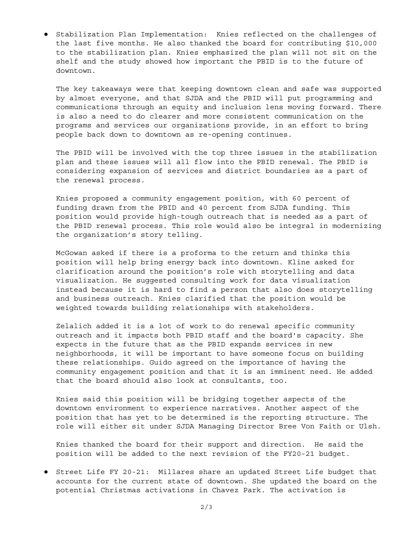● Stabilization Plan Implementation: Knies reflected on the challenges of the last five months. He also thanked the board for contributing \$10,000 to the stabilization plan. Knies emphasized the plan will not sit on the shelf and the study showed how important the PBID is to the future of downtown.

The key takeaways were that keeping downtown clean and safe was supported by almost everyone, and that SJDA and the PBID will put programming and communications through an equity and inclusion lens moving forward. There is also a need to do clearer and more consistent communication on the programs and services our organizations provide, in an effort to bring people back down to downtown as re-opening continues.

The PBID will be involved with the top three issues in the stabilization plan and these issues will all flow into the PBID renewal. The PBID is considering expansion of services and district boundaries as a part of the renewal process.

Knies proposed a community engagement position, with 60 percent of funding drawn from the PBID and 40 percent from SJDA funding. This position would provide high-tough outreach that is needed as a part of the PBID renewal process. This role would also be integral in modernizing the organization's story telling.

McGowan asked if there is a proforma to the return and thinks this position will help bring energy back into downtown. Kline asked for clarification around the position's role with storytelling and data visualization. He suggested consulting work for data visualization instead because it is hard to find a person that also does storytelling and business outreach. Knies clarified that the position would be weighted towards building relationships with stakeholders.

Zelalich added it is a lot of work to do renewal specific community outreach and it impacts both PBID staff and the board's capacity. She expects in the future that as the PBID expands services in new neighborhoods, it will be important to have someone focus on building these relationships. Guido agreed on the importance of having the community engagement position and that it is an imminent need. He added that the board should also look at consultants, too.

Knies said this position will be bridging together aspects of the downtown environment to experience narratives. Another aspect of the position that has yet to be determined is the reporting structure. The role will either sit under SJDA Managing Director Bree Von Faith or Ulsh.

Knies thanked the board for their support and direction. He said the position will be added to the next revision of the FY20-21 budget.

● Street Life FY 20-21: Millares share an updated Street Life budget that accounts for the current state of downtown. She updated the board on the potential Christmas activations in Chavez Park. The activation is